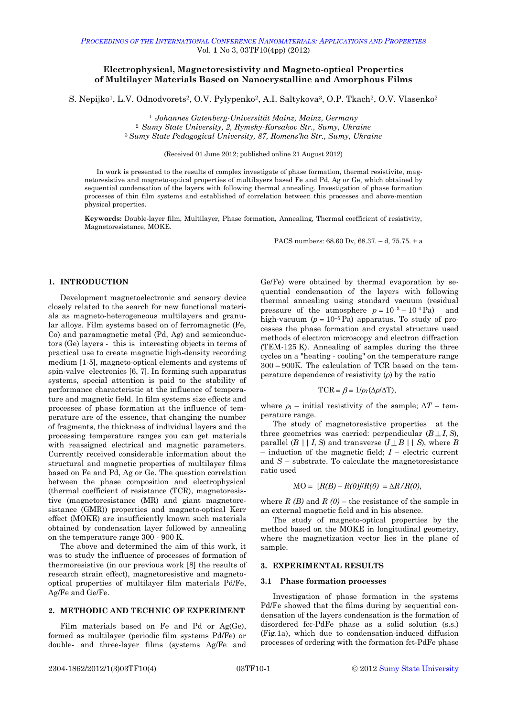# **Electrophysical, Magnetoresistivity and Magneto-optical Properties of Multilayer Materials Based on Nanocrystalline and Amorphous Films**

S. Nepijko<sup>1</sup>, L.V. Odnodvorets<sup>2</sup>, O.V. Pylypenko<sup>2</sup>, A.I. Saltykova<sup>3</sup>, O.P. Tkach<sup>2</sup>, O.V. Vlasenko<sup>2</sup>

<span id="page-0-0"></span><sup>1</sup> *Johannes Gutenberg-Universität Mainz, Mainz, Germany* <sup>2</sup> *Sumy State University, 2, Rymsky-Korsakov Str., Sumy, Ukraine*

<sup>3</sup>*Sumy State Pedagogical University, 87, Romens'ka Str., Sumy, Ukraine*

(Received 01 June 2012; published online 21 August 2012)

In work is presented to the results of complex investigate of phase formation, thermal resistivite, magnetoresistive and magneto-optical properties of multilayers based Fe and Pd, Ag or Ge, which obtained by sequential condensation of the layers with following thermal annealing. Investigation of phase formation processes of thin film systems and established of correlation between this processes and above-mention physical properties.

**Keywords:** Double-layer film, Multilayer, Phase formation, Annealing, Thermal coefficient of resistivity, Magnetoresistance, MOKE.

PACS numbers: 68.60 Dv, 68.37. – d, 75.75. + a

## **1. INTRODUCTION**

Development magnetoelectronic and sensory device closely related to the search for new functional materials as magneto-heterogeneous multilayers and granular alloys. Film systems based on of ferromagnetic (Fe, Co) and paramagnetic metal (Pd, Ag) and semiconductors (Ge) layers - this is interesting objects in terms of practical use to create magnetic high-density recording medium [1-5], magneto-optical elements and systems of spin-valve electronics [6, 7]. In forming such apparatus systems, special attention is paid to the stability of performance characteristic at the influence of temperature and magnetic field. In film systems size effects and processes of phase formation at the influence of temperature are of the essence, that changing the number of fragments, the thickness of individual layers and the processing temperature ranges you can get materials with reassigned electrical and magnetic parameters. Currently received considerable information about the structural and magnetic properties of multilayer films based on Fe and Pd, Ag or Ge. The question correlation between the phase composition and electrophysical (thermal coefficient of resistance (TCR), magnetoresistive (magnetoresistance (MR) and giant magnetoresistance (GMR)) properties and magneto-optical Kerr effect (MOKE) are insufficiently known such materials obtained by condensation layer followed by annealing on the temperature range 300 - 900 K.

The above and determined the aim of this work, it was to study the influence of processes of formation of thermoresistive (in our previous work [8] the results of research strain effect), magnetoresistive and magnetooptical properties of multilayer film materials Pd/Fe, Ag/Fe and Ge/Fe.

## **2. METHODIC AND TECHNIC OF EXPERIMENT**

Film materials based on Fe and Pd or Ag(Ge), formed as multilayer (periodic film systems Pd/Fe) or double- and three-layer films (systems Ag/Fe and Ge/Fe) were obtained by thermal evaporation by sequential condensation of the layers with following thermal annealing using standard vacuum (residual pressure of the atmosphere  $p = 10^{-3} - 10^{-4}$  Pa) and high-vacuum  $(p = 10^{-5} \text{ Pa})$  apparatus. To study of processes the phase formation and crystal structure used methods of electron microscopy and electron diffraction (TEM-125 K). Annealing of samples during the three cycles on a "heating - cooling" on the temperature range 300 – 900K. The calculation of TCR based on the temperature dependence of resistivity (*ρ*) by the ratio

$$
TCR = \beta = 1/\rho_i \cdot (\Delta \rho / \Delta T),
$$

where  $\rho_i$  – initial resistivity of the sample;  $\Delta T$  – temperature range.

The study of magnetoresistive properties at the three geometries was carried: perpendicular  $(B \perp I, S)$ , parallel  $(B \mid | I, S)$  and transverse  $(I \perp B \mid | S)$ , where *B* – induction of the magnetic field; *I* – electric current and *S* – substrate. To calculate the magnetoresistance ratio used

$$
MO = [R(B) - R(0)]/R(0) = \Delta R/R(0),
$$

where  $R(B)$  and  $R(0)$  – the resistance of the sample in an external magnetic field and in his absence.

The study of magneto-optical properties by the method based on the MOKE in longitudinal geometry, where the magnetization vector lies in the plane of sample.

#### **3. EXPERIMENTAL RESULTS**

### **3.1 Phase formation processes**

Investigation of phase formation in the systems Pd/Fe showed that the films during by sequential condensation of the layers condensation is the formation of disordered fcc-PdFe phase as a solid solution (s.s.) (Fig.1a), which due to condensation-induced diffusion processes of ordering with the formation fct-PdFe phase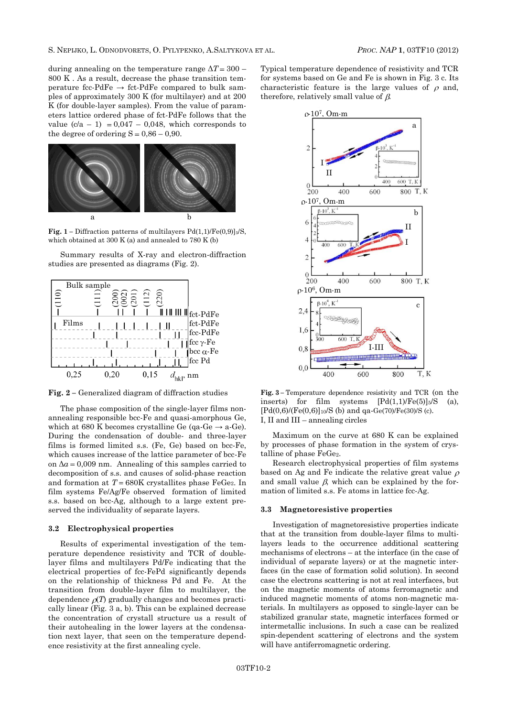during annealing on the temperature range  $\Delta T = 300$  – 800 K . As a result, decrease the phase transition temperature fcc-PdFe  $\rightarrow$  fct-PdFe compared to bulk samples of approximately 300 K (for multilayer) and at 200 K (for double-layer samples). From the value of parameters lattice ordered phase of fct-PdFe follows that the value  $(c/a - 1) = 0.047 - 0.048$ , which corresponds to the degree of ordering  $S = 0.86 - 0.90$ .



**Fig. 1** – Diffraction patterns of multilayers  $Pd(1,1)/Fe(0,9)$ <sub>5</sub>/S, which obtained at 300 K (a) and annealed to 780 K (b)

Summary results of X-ray and electron-diffraction studies are presented as diagrams (Fig. 2).



**Fig. 2 –** Generalized diagram of diffraction studies

The phase composition of the single-layer films nonannealing responsible bcc-Fe and quasi-amorphous Ge, which at 680 K becomes crystalline Ge (qa-Ge  $\rightarrow$  a-Ge). During the condensation of double- and three-layer films is formed limited s.s. (Fe, Ge) based on bcc-Fe, which causes increase of the lattice parameter of bcc-Fe on  $\Delta a = 0.009$  nm. Annealing of this samples carried to decomposition of s.s. and causes of solid-phase reaction and formation at  $T = 680$ K crystallites phase FeGe<sub>2</sub>. In film systems Fe/Ag/Fe observed formation of limited s.s. based on bcc-Ag, although to a large extent preserved the individuality of separate layers.

## **3.2 Electrophysical properties**

Results of experimental investigation of the temperature dependence resistivity and TCR of doublelayer films and multilayers Pd/Fe indicating that the electrical properties of fcc-FePd significantly depends on the relationship of thickness Pd and Fe. At the transition from double-layer film to multilayer, the dependence  $\rho(T)$  gradually changes and becomes practically linear (Fig. 3 a, b). This can be explained decrease the concentration of crystall structure us a result of their autohealing in the lower layers at the condensation next layer, that seen on the temperature dependence resistivity at the first annealing cycle.

Typical temperature dependence of resistivity and TCR for systems based on Ge and Fe is shown in Fig. 3 c. Its characteristic feature is the large values of  $\rho$  and, therefore, relatively small value of  $\beta$ .



**Fig. 3 –** Temperature dependence resistivity and TCR (on the inserts) for film systems  $[Pd(1,1)/Fe(5)]_5/S$  (a),  $[Pd(0,6)/(Fe(0,6)]_{10}/S$  (b) and qa-Ge(70)/Fe(30)/S (c). І, ІІ and ІІІ – annealing circles

Maximum on the curve at 680 K can be explained by processes of phase formation in the system of crystalline of phase FeGe2.

Research electrophysical properties of film systems based on Ag and Fe indicate the relative great value  $\rho$ and small value  $\beta$ , which can be explained by the formation of limited s.s. Fe atoms in lattice fcc-Ag.

### **3.3 Magnetoresistive properties**

Investigation of magnetoresistive properties indicate that at the transition from double-layer films to multilayers leads to the occurrence additional scattering mechanisms of electrons – at the interface (in the case of individual of separate layers) or at the magnetic interfaces (in the case of formation solid solution). In second case the electrons scattering is not at real interfaces, but on the magnetic moments of atoms ferromagnetic and induced magnetic moments of atoms non-magnetic materials. In multilayers as opposed to single-layer can be stabilized granular state, magnetic interfaces formed or intermetallic inclusions. In such a case can be realized spin-dependent scattering of electrons and the system will have antiferromagnetic ordering.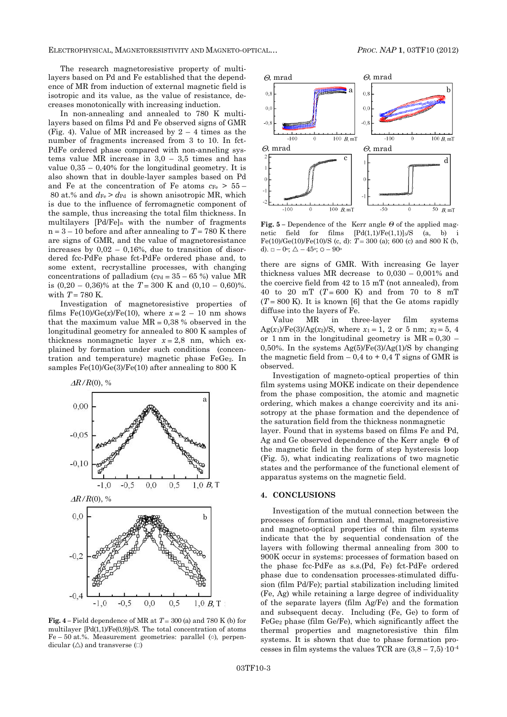ELECTROPHYSICAL, MAGNETORESISTIVITY AND MAGNETO-OPTICAL… *PROC. NAP* **1**, [03TF10](#page-0-0) (2012)

The research magnetoresistive property of multilayers based on Pd and Fe established that the dependence of MR from induction of external magnetic field is isotropic and its value, as the value of resistance, decreases monotonically with increasing induction.

In non-annealing and annealed to 780 K multilayers based on films Pd and Fe observed signs of GMR (Fig. 4). Value of MR increased by  $2 - 4$  times as the number of fragments increased from 3 to 10. In fct-PdFe ordered phase compared with non-anneling systems value MR increase in  $3.0 - 3.5$  times and has value 0,35 – 0,40% for the longitudinal geometry. It is also shown that in double-layer samples based on Pd and Fe at the concentration of Fe atoms  $c_{Fe} > 55 -$ 80 at.% and  $d_{Fe} > d_{Pd}$  is shown anisotropic MR, which is due to the influence of ferromagnetic component of the sample, thus increasing the total film thickness. In multilayers [Pd/Fe]<sup>n</sup> with the number of fragments  $n = 3 - 10$  before and after annealing to  $T = 780$  K there are signs of GMR, and the value of magnetoresistance increases by  $0.02 - 0.16$ %, due to transition of disordered fcc-PdFe phase fct-PdFe ordered phase and, to some extent, recrystalline processes, with changing concentrations of palladium ( $c_{\text{Pd}} = 35 - 65$ %) value MR is  $(0,20 - 0,36)$ % at the  $T = 300$  K and  $(0,10 - 0,60)$ %. with  $T = 780$  K.

Investigation of magnetoresistive properties of films  $Fe(10)/(Ge(x)/Fe(10))$ , where  $x = 2 - 10$  nm shows that the maximum value  $MR = 0.38$  % observed in the longitudinal geometry for annealed to 800 K samples of thickness nonmagnetic layer  $x = 2.8$  nm, which explained by formation under such conditions (concentration and temperature) magnetic phase FeGe2. In samples  $Fe(10)/Ge(3)/Fe(10)$  after annealing to 800 K



**Fig.** 4 – Field dependence of MR at  $T = 300$  (a) and 780 K (b) for multilayer  $[Pd(1,1)/Fe(0,9)] \times S$ . The total concentration of atoms Fe – 50 at.%. Measurement geometries: parallel (○), perpendicular  $(\triangle)$  and transverse  $(\square)$ 



**Fig. 5 –** Dependence of the Kerr angle *Θ* of the applied magnetic field for films  $[Pd(1,1)/Fe(1,1)]_5/S$  (a, b) Fe(10)/Ge(10)/Fe(10)/S (c, d):  $T = 300$  (a); 600 (c) and 800 K (b, d).  $\Box - 0^{\circ}$ ;  $\triangle - 45^{\circ}$ ;  $\circ - 90^{\circ}$ 

there are signs of GMR. With increasing Ge layer thickness values MR decrease to 0,030 – 0,001% and the coercive field from 42 to 15 mT (not annealed), from 40 to 20 mT  $(T = 600 \text{ K})$  and from 70 to 8 mT  $(T = 800 \text{ K})$ . It is known [6] that the Ge atoms rapidly diffuse into the layers of Fe.

Value MR in three-layer film systems Ag(*x*<sub>1</sub>)/Fe(3)/Ag(*x*<sub>2</sub>)/S, where *x*<sub>1</sub> = 1, 2 or 5 nm; *x*<sub>2</sub> = 5, 4 or 1 nm in the longitudinal geometry is  $MR = 0.30$  – 0,50%. In the systems  $Ag(5)/Fe(3)/Ag(1)/S$  by changing the magnetic field from  $-0.4$  to  $+0.4$  T signs of GMR is observed.

Investigation of magneto-optical properties of thin film systems using MOKE indicate on their dependence from the phase composition, the atomic and magnetic ordering, which makes a change coercivity and its anisotropy at the phase formation and the dependence of the saturation field from the thickness nonmagnetic layer. Found that in systems based on films Fe and Pd, Ag and Ge observed dependence of the Kerr angle Θ of the magnetic field in the form of step hysteresis loop (Fig. 5), what indicating realizations of two magnetic states and the performance of the functional element of apparatus systems on the magnetic field.

#### **4. CONCLUSIONS**

Investigation of the mutual connection between the processes of formation and thermal, magnetoresistive and magneto-optical properties of thin film systems indicate that the by sequential condensation of the layers with following thermal annealing from 300 to 900K occur in systems: processes of formation based on the phase fcc-PdFe as s.s.(Pd, Fe) fct-PdFe ordered phase due to condensation processes-stimulated diffusion (film Pd/Fe); partial stabilization including limited (Fe, Ag) while retaining a large degree of individuality of the separate layers (film Ag/Fe) and the formation and subsequent decay. Including (Fe, Ge) to form of FeGe<sup>2</sup> phase (film Ge/Fe), which significantly affect the thermal properties and magnetoresistive thin film systems. It is shown that due to phase formation processes in film systems the values TCR are  $(3,8-7,5)$   $\cdot 10^{-4}$